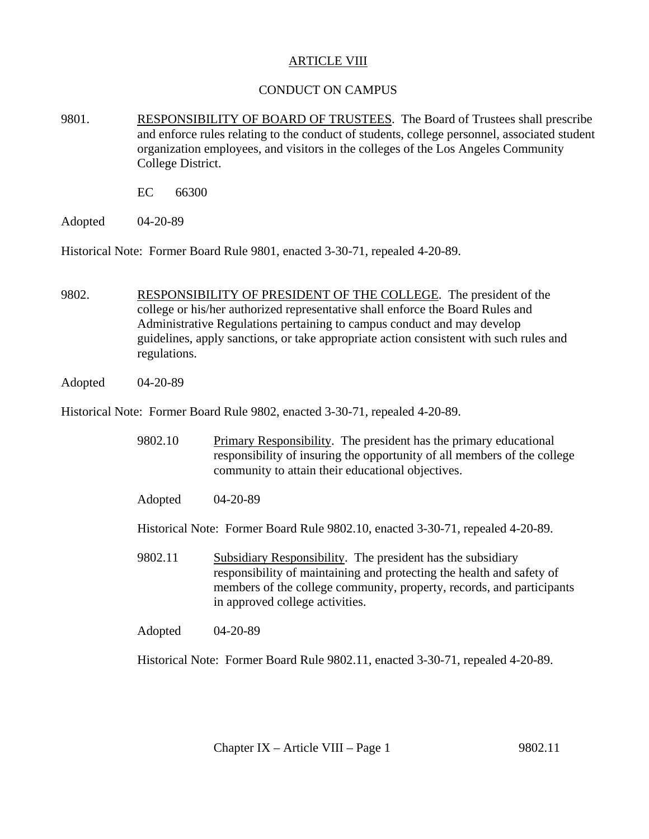## **ARTICLE VIII**

## CONDUCT ON CAMPUS

- 9801. RESPONSIBILITY OF BOARD OF TRUSTEES. The Board of Trustees shall prescribe and enforce rules relating to the conduct of students, college personnel, associated student organization employees, and visitors in the colleges of the Los Angeles Community College District.
	- EC 66300
- Adopted 04-20-89

Historical Note: Former Board Rule 9801, enacted 3-30-71, repealed 4-20-89.

- 9802. RESPONSIBILITY OF PRESIDENT OF THE COLLEGE. The president of the college or his/her authorized representative shall enforce the Board Rules and Administrative Regulations pertaining to campus conduct and may develop guidelines, apply sanctions, or take appropriate action consistent with such rules and regulations.
- Adopted 04-20-89

Historical Note: Former Board Rule 9802, enacted 3-30-71, repealed 4-20-89.

- 9802.10 Primary Responsibility. The president has the primary educational responsibility of insuring the opportunity of all members of the college community to attain their educational objectives.
- Adopted 04-20-89

Historical Note: Former Board Rule 9802.10, enacted 3-30-71, repealed 4-20-89.

- 9802.11 Subsidiary Responsibility. The president has the subsidiary responsibility of maintaining and protecting the health and safety of members of the college community, property, records, and participants in approved college activities.
- Adopted 04-20-89

Historical Note: Former Board Rule 9802.11, enacted 3-30-71, repealed 4-20-89.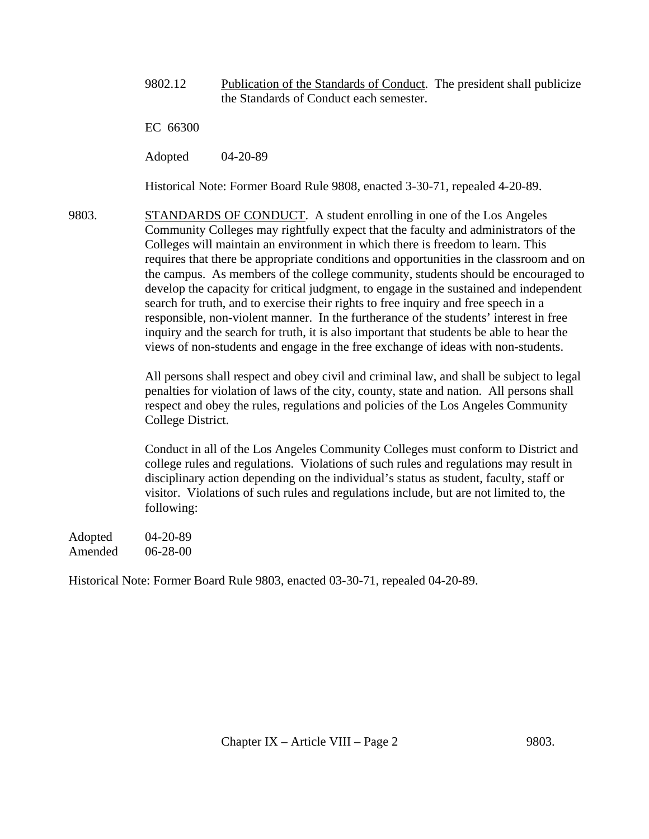9802.12 Publication of the Standards of Conduct. The president shall publicize the Standards of Conduct each semester.

EC 66300

Adopted 04-20-89

Historical Note: Former Board Rule 9808, enacted 3-30-71, repealed 4-20-89.

9803. STANDARDS OF CONDUCT. A student enrolling in one of the Los Angeles Community Colleges may rightfully expect that the faculty and administrators of the Colleges will maintain an environment in which there is freedom to learn. This requires that there be appropriate conditions and opportunities in the classroom and on the campus. As members of the college community, students should be encouraged to develop the capacity for critical judgment, to engage in the sustained and independent search for truth, and to exercise their rights to free inquiry and free speech in a responsible, non-violent manner. In the furtherance of the students' interest in free inquiry and the search for truth, it is also important that students be able to hear the views of non-students and engage in the free exchange of ideas with non-students.

> All persons shall respect and obey civil and criminal law, and shall be subject to legal penalties for violation of laws of the city, county, state and nation. All persons shall respect and obey the rules, regulations and policies of the Los Angeles Community College District.

> Conduct in all of the Los Angeles Community Colleges must conform to District and college rules and regulations. Violations of such rules and regulations may result in disciplinary action depending on the individual's status as student, faculty, staff or visitor. Violations of such rules and regulations include, but are not limited to, the following:

Adopted 04-20-89 Amended 06-28-00

Historical Note: Former Board Rule 9803, enacted 03-30-71, repealed 04-20-89.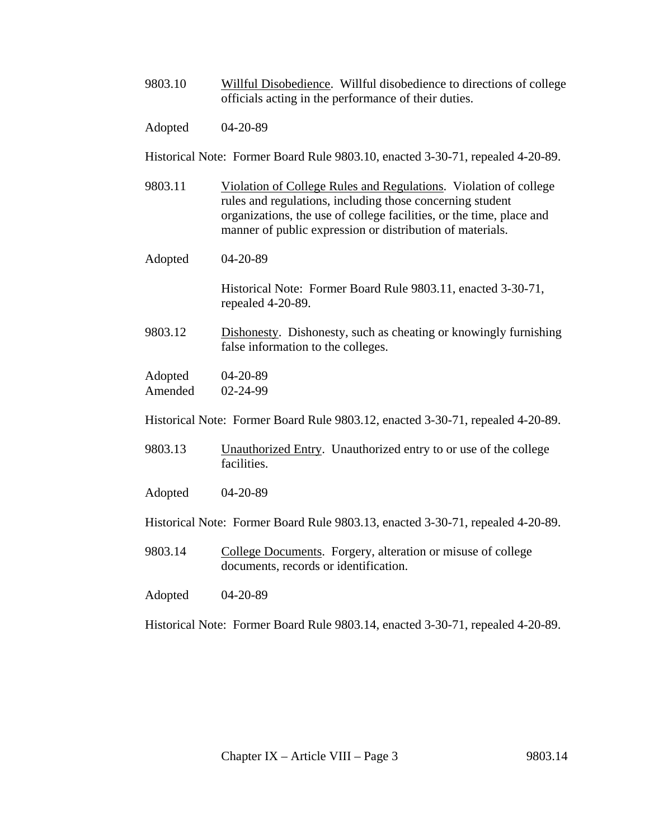- 9803.10 Willful Disobedience. Willful disobedience to directions of college officials acting in the performance of their duties.
- Adopted 04-20-89

Historical Note: Former Board Rule 9803.10, enacted 3-30-71, repealed 4-20-89.

- 9803.11 Violation of College Rules and Regulations. Violation of college rules and regulations, including those concerning student organizations, the use of college facilities, or the time, place and manner of public expression or distribution of materials.
- Adopted 04-20-89

Historical Note: Former Board Rule 9803.11, enacted 3-30-71, repealed 4-20-89.

9803.12 Dishonesty. Dishonesty, such as cheating or knowingly furnishing false information to the colleges.

Adopted 04-20-89 Amended 02-24-99

Historical Note: Former Board Rule 9803.12, enacted 3-30-71, repealed 4-20-89.

- 9803.13 Unauthorized Entry. Unauthorized entry to or use of the college facilities.
- Adopted 04-20-89

Historical Note: Former Board Rule 9803.13, enacted 3-30-71, repealed 4-20-89.

9803.14 College Documents. Forgery, alteration or misuse of college documents, records or identification.

Adopted 04-20-89

Historical Note: Former Board Rule 9803.14, enacted 3-30-71, repealed 4-20-89.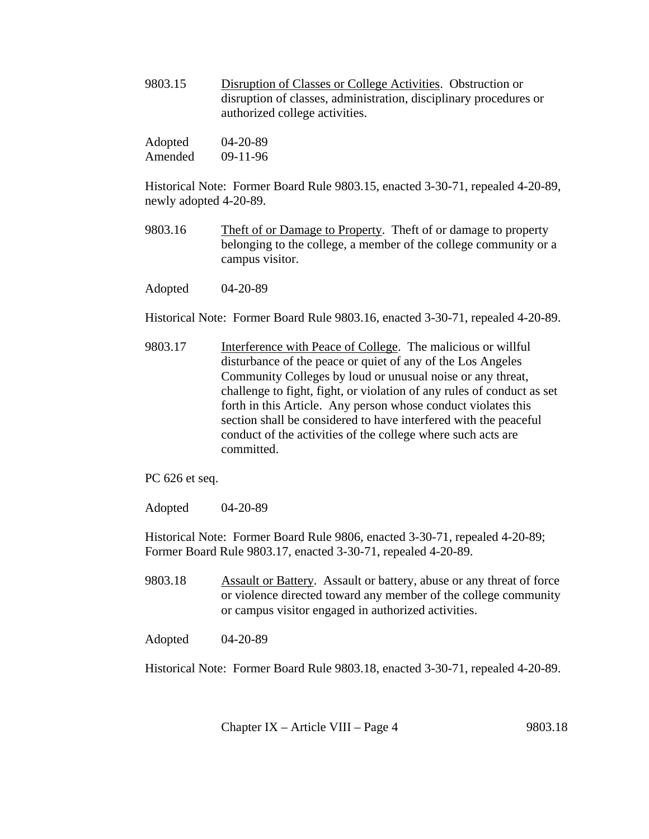9803.15 Disruption of Classes or College Activities. Obstruction or disruption of classes, administration, disciplinary procedures or authorized college activities.

| Adopted | $04 - 20 - 89$ |
|---------|----------------|
| Amended | $09-11-96$     |

Historical Note: Former Board Rule 9803.15, enacted 3-30-71, repealed 4-20-89, newly adopted 4-20-89.

- 9803.16 Theft of or Damage to Property. Theft of or damage to property belonging to the college, a member of the college community or a campus visitor.
- Adopted 04-20-89

Historical Note: Former Board Rule 9803.16, enacted 3-30-71, repealed 4-20-89.

- 9803.17 Interference with Peace of College. The malicious or willful disturbance of the peace or quiet of any of the Los Angeles Community Colleges by loud or unusual noise or any threat, challenge to fight, fight, or violation of any rules of conduct as set forth in this Article. Any person whose conduct violates this section shall be considered to have interfered with the peaceful conduct of the activities of the college where such acts are committed.
- PC 626 et seq.

Adopted 04-20-89

Historical Note: Former Board Rule 9806, enacted 3-30-71, repealed 4-20-89; Former Board Rule 9803.17, enacted 3-30-71, repealed 4-20-89.

9803.18 Assault or Battery. Assault or battery, abuse or any threat of force or violence directed toward any member of the college community or campus visitor engaged in authorized activities.

Adopted 04-20-89

Historical Note: Former Board Rule 9803.18, enacted 3-30-71, repealed 4-20-89.

Chapter IX – Article VIII – Page 4 9803.18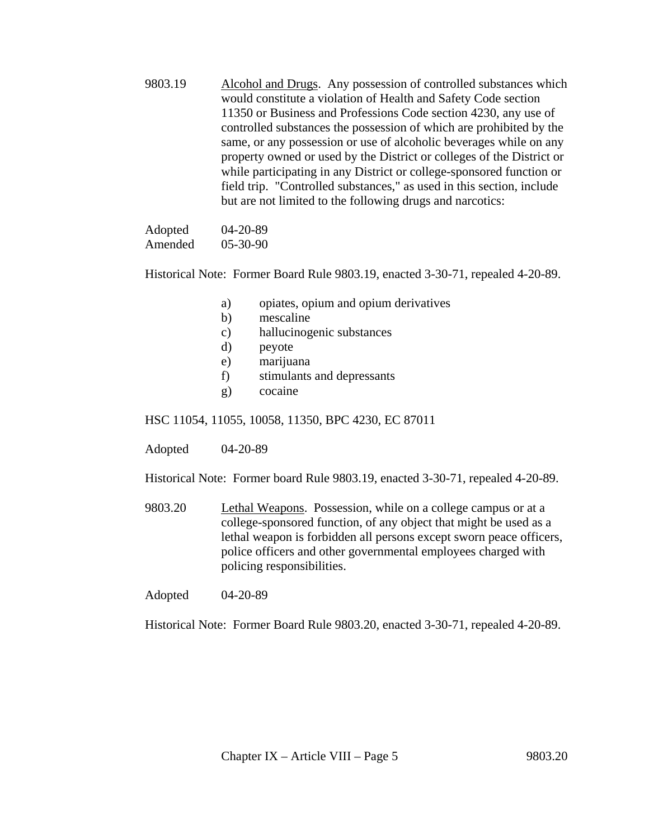9803.19 Alcohol and Drugs. Any possession of controlled substances which would constitute a violation of Health and Safety Code section 11350 or Business and Professions Code section 4230, any use of controlled substances the possession of which are prohibited by the same, or any possession or use of alcoholic beverages while on any property owned or used by the District or colleges of the District or while participating in any District or college-sponsored function or field trip. "Controlled substances," as used in this section, include but are not limited to the following drugs and narcotics:

 Adopted 04-20-89 Amended 05-30-90

Historical Note: Former Board Rule 9803.19, enacted 3-30-71, repealed 4-20-89.

- a) opiates, opium and opium derivatives
- b) mescaline
- c) hallucinogenic substances
- d) peyote
- e) marijuana
- f) stimulants and depressants
- g) cocaine

HSC 11054, 11055, 10058, 11350, BPC 4230, EC 87011

Adopted 04-20-89

Historical Note: Former board Rule 9803.19, enacted 3-30-71, repealed 4-20-89.

9803.20 Lethal Weapons. Possession, while on a college campus or at a college-sponsored function, of any object that might be used as a lethal weapon is forbidden all persons except sworn peace officers, police officers and other governmental employees charged with policing responsibilities.

Adopted 04-20-89

Historical Note: Former Board Rule 9803.20, enacted 3-30-71, repealed 4-20-89.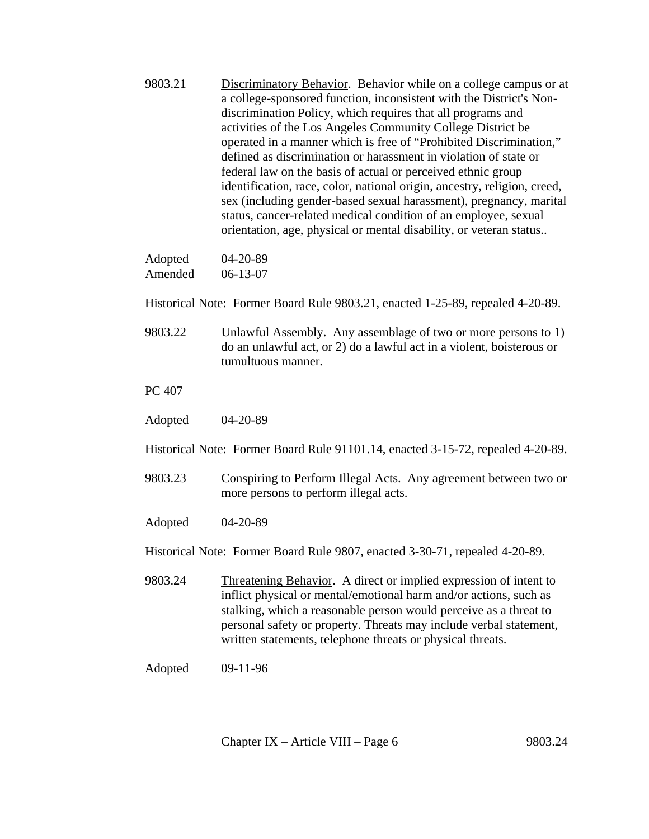9803.21 Discriminatory Behavior. Behavior while on a college campus or at a college-sponsored function, inconsistent with the District's Nondiscrimination Policy, which requires that all programs and activities of the Los Angeles Community College District be operated in a manner which is free of "Prohibited Discrimination," defined as discrimination or harassment in violation of state or federal law on the basis of actual or perceived ethnic group identification, race, color, national origin, ancestry, religion, creed, sex (including gender-based sexual harassment), pregnancy, marital status, cancer-related medical condition of an employee, sexual orientation, age, physical or mental disability, or veteran status..

| Adopted | $04 - 20 - 89$ |
|---------|----------------|
| Amended | $06-13-07$     |

Historical Note: Former Board Rule 9803.21, enacted 1-25-89, repealed 4-20-89.

9803.22 Unlawful Assembly. Any assemblage of two or more persons to 1) do an unlawful act, or 2) do a lawful act in a violent, boisterous or tumultuous manner.

PC 407

Adopted 04-20-89

Historical Note: Former Board Rule 91101.14, enacted 3-15-72, repealed 4-20-89.

9803.23 Conspiring to Perform Illegal Acts. Any agreement between two or more persons to perform illegal acts.

Adopted 04-20-89

Historical Note: Former Board Rule 9807, enacted 3-30-71, repealed 4-20-89.

- 9803.24 Threatening Behavior. A direct or implied expression of intent to inflict physical or mental/emotional harm and/or actions, such as stalking, which a reasonable person would perceive as a threat to personal safety or property. Threats may include verbal statement, written statements, telephone threats or physical threats.
- Adopted 09-11-96

Chapter IX – Article VIII – Page 6 9803.24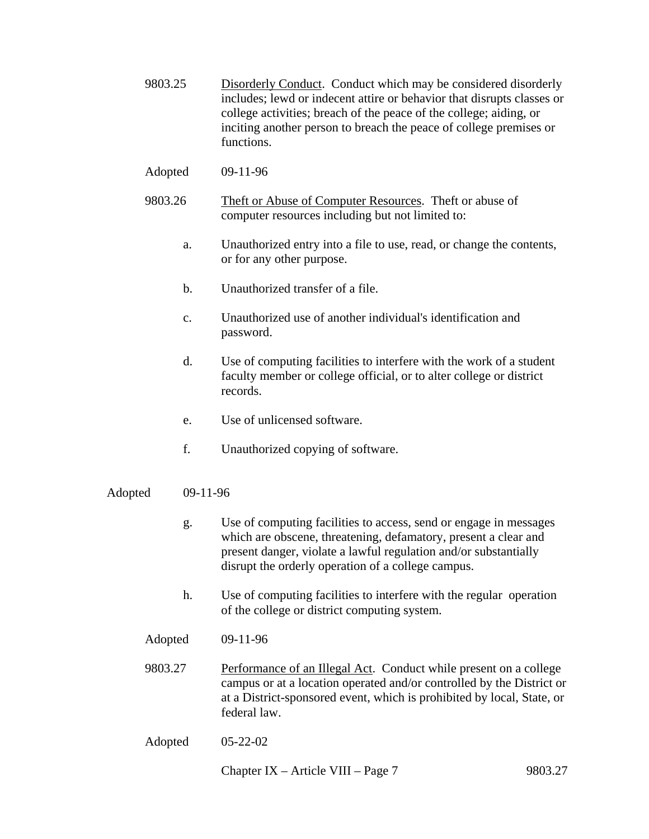- 9803.25 Disorderly Conduct. Conduct which may be considered disorderly includes; lewd or indecent attire or behavior that disrupts classes or college activities; breach of the peace of the college; aiding, or inciting another person to breach the peace of college premises or functions.
- Adopted 09-11-96
- 9803.26 Theft or Abuse of Computer Resources. Theft or abuse of computer resources including but not limited to:
	- a. Unauthorized entry into a file to use, read, or change the contents, or for any other purpose.
	- b. Unauthorized transfer of a file.
	- c. Unauthorized use of another individual's identification and password.
	- d. Use of computing facilities to interfere with the work of a student faculty member or college official, or to alter college or district records.
	- e. Use of unlicensed software.
	- f. Unauthorized copying of software.
- Adopted 09-11-96
	- g. Use of computing facilities to access, send or engage in messages which are obscene, threatening, defamatory, present a clear and present danger, violate a lawful regulation and/or substantially disrupt the orderly operation of a college campus.
	- h. Use of computing facilities to interfere with the regular operation of the college or district computing system.
	- Adopted 09-11-96
	- 9803.27 Performance of an Illegal Act. Conduct while present on a college campus or at a location operated and/or controlled by the District or at a District-sponsored event, which is prohibited by local, State, or federal law.
	- Adopted 05-22-02

Chapter IX – Article VIII – Page 7 9803.27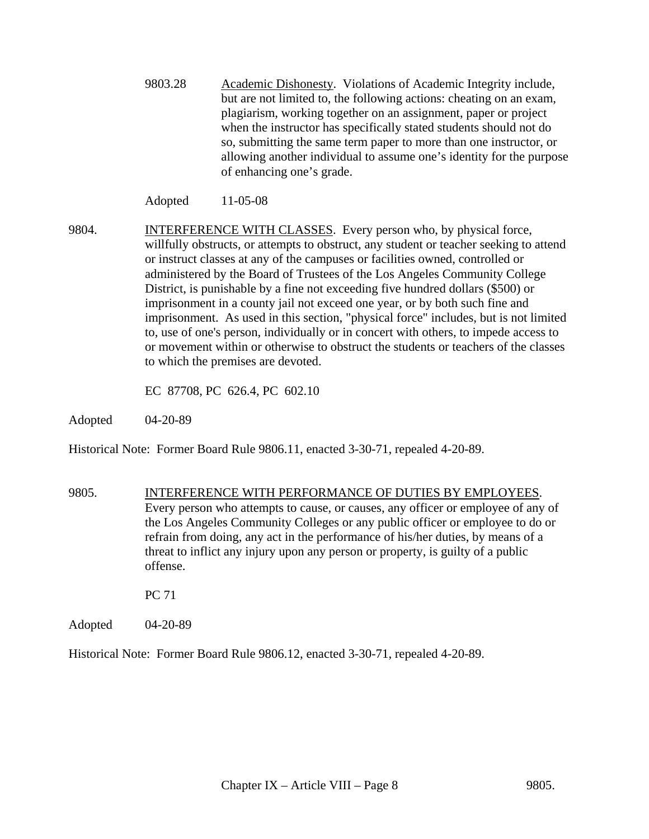9803.28 Academic Dishonesty. Violations of Academic Integrity include, but are not limited to, the following actions: cheating on an exam, plagiarism, working together on an assignment, paper or project when the instructor has specifically stated students should not do so, submitting the same term paper to more than one instructor, or allowing another individual to assume one's identity for the purpose of enhancing one's grade.

Adopted 11-05-08

9804. **INTERFERENCE WITH CLASSES**. Every person who, by physical force, willfully obstructs, or attempts to obstruct, any student or teacher seeking to attend or instruct classes at any of the campuses or facilities owned, controlled or administered by the Board of Trustees of the Los Angeles Community College District, is punishable by a fine not exceeding five hundred dollars (\$500) or imprisonment in a county jail not exceed one year, or by both such fine and imprisonment. As used in this section, "physical force" includes, but is not limited to, use of one's person, individually or in concert with others, to impede access to or movement within or otherwise to obstruct the students or teachers of the classes to which the premises are devoted.

EC 87708, PC 626.4, PC 602.10

Adopted 04-20-89

Historical Note: Former Board Rule 9806.11, enacted 3-30-71, repealed 4-20-89.

9805. INTERFERENCE WITH PERFORMANCE OF DUTIES BY EMPLOYEES. Every person who attempts to cause, or causes, any officer or employee of any of the Los Angeles Community Colleges or any public officer or employee to do or refrain from doing, any act in the performance of his/her duties, by means of a threat to inflict any injury upon any person or property, is guilty of a public offense.

PC 71

Adopted 04-20-89

Historical Note: Former Board Rule 9806.12, enacted 3-30-71, repealed 4-20-89.